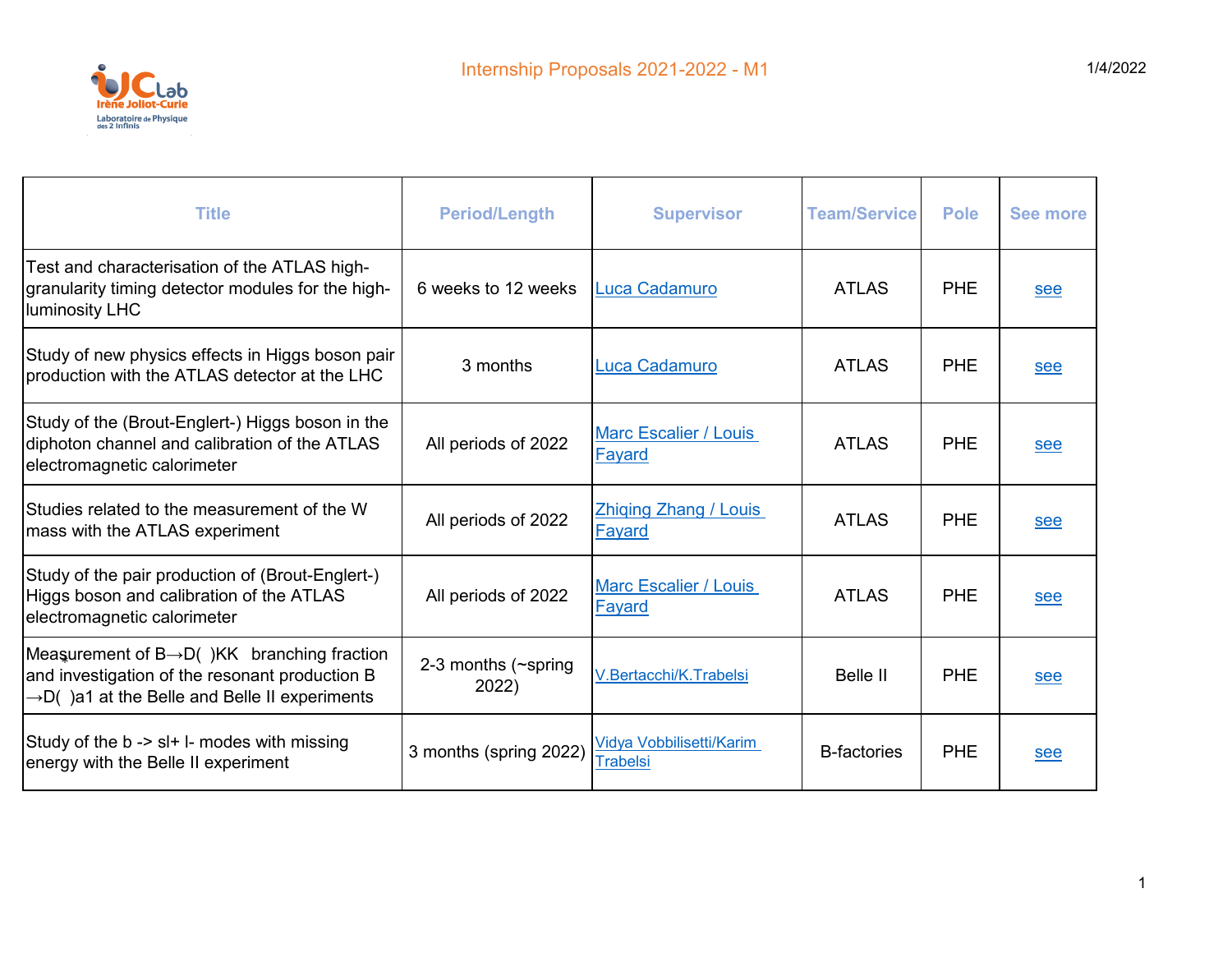

| <b>Title</b>                                                                                                                                                             | <b>Period/Length</b>         | <b>Supervisor</b>                           | <b>Team/Service</b> | <b>Pole</b> | <b>See more</b> |
|--------------------------------------------------------------------------------------------------------------------------------------------------------------------------|------------------------------|---------------------------------------------|---------------------|-------------|-----------------|
| Test and characterisation of the ATLAS high-<br>granularity timing detector modules for the high-<br>luminosity LHC                                                      | 6 weeks to 12 weeks          | <b>Luca Cadamuro</b>                        | <b>ATLAS</b>        | <b>PHE</b>  | see             |
| Study of new physics effects in Higgs boson pair<br>production with the ATLAS detector at the LHC                                                                        | 3 months                     | Luca Cadamuro                               | <b>ATLAS</b>        | <b>PHE</b>  | see             |
| Study of the (Brout-Englert-) Higgs boson in the<br>diphoton channel and calibration of the ATLAS<br>electromagnetic calorimeter                                         | All periods of 2022          | <b>Marc Escalier / Louis</b><br>Fayard      | <b>ATLAS</b>        | <b>PHE</b>  | see             |
| Studies related to the measurement of the W<br>mass with the ATLAS experiment                                                                                            | All periods of 2022          | <b>Zhiging Zhang / Louis</b><br>Fayard      | <b>ATLAS</b>        | <b>PHE</b>  | see             |
| Study of the pair production of (Brout-Englert-)<br>Higgs boson and calibration of the ATLAS<br>electromagnetic calorimeter                                              | All periods of 2022          | <b>Marc Escalier / Louis</b><br>Fayard      | <b>ATLAS</b>        | <b>PHE</b>  | see             |
| Measurement of $B \rightarrow D($ )KK branching fraction<br>and investigation of the resonant production B<br>$\rightarrow$ D() a1 at the Belle and Belle II experiments | 2-3 months (~spring<br>2022) | V.Bertacchi/K.Trabelsi                      | <b>Belle II</b>     | <b>PHE</b>  | see             |
| Study of the b -> sl+ l- modes with missing<br>energy with the Belle II experiment                                                                                       | 3 months (spring 2022)       | Vidya Vobbilisetti/Karim<br><b>Trabelsi</b> | <b>B-factories</b>  | <b>PHE</b>  | see             |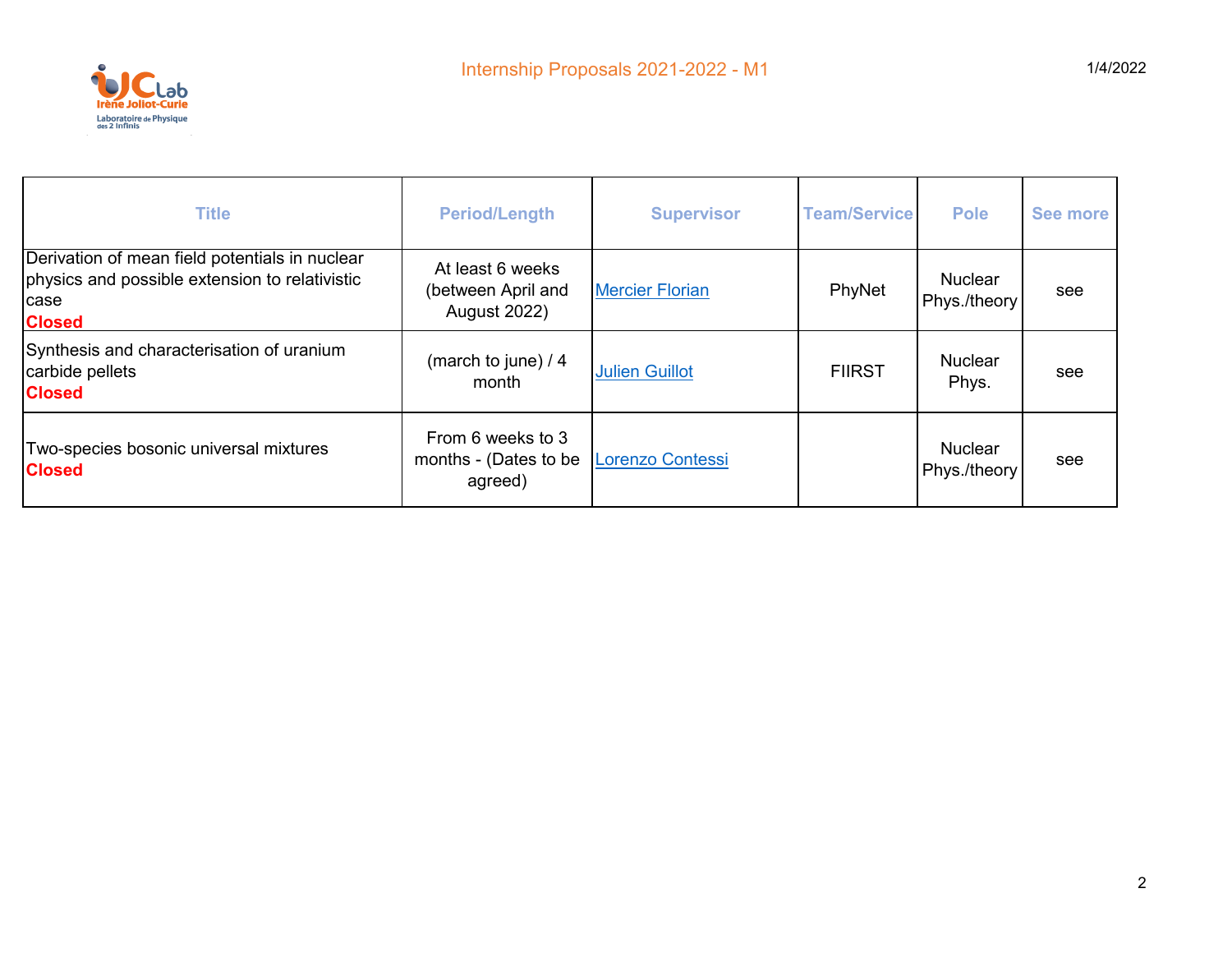

| <b>Title</b>                                                                                                              | <b>Period/Length</b>                                          | <b>Supervisor</b>       | <b>Team/Service</b> | <b>Pole</b>                    | See more |
|---------------------------------------------------------------------------------------------------------------------------|---------------------------------------------------------------|-------------------------|---------------------|--------------------------------|----------|
| Derivation of mean field potentials in nuclear<br>physics and possible extension to relativistic<br>case<br><b>Closed</b> | At least 6 weeks<br>(between April and<br><b>August 2022)</b> | <b>Mercier Florian</b>  | PhyNet              | <b>Nuclear</b><br>Phys./theory | see      |
| Synthesis and characterisation of uranium<br>carbide pellets<br><b>Closed</b>                                             | (march to june) / 4<br>month                                  | <b>Julien Guillot</b>   | <b>FIIRST</b>       | <b>Nuclear</b><br>Phys.        | see      |
| Two-species bosonic universal mixtures<br><b>Closed</b>                                                                   | From 6 weeks to 3<br>months - (Dates to be<br>agreed)         | <b>Lorenzo Contessi</b> |                     | <b>Nuclear</b><br>Phys./theory | see      |